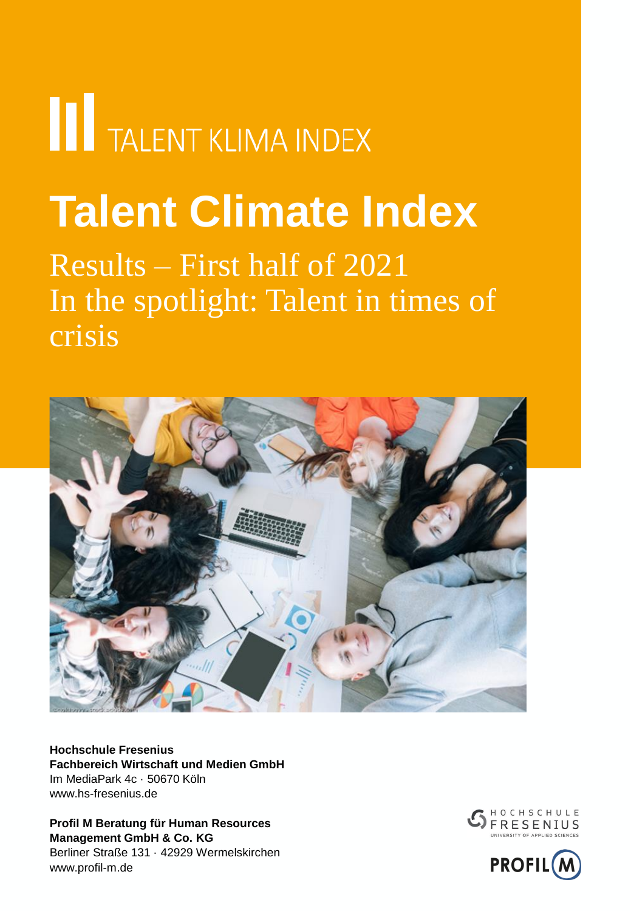# **THE TALENT KLIMA INDEX**

## **Talent Climate Index**

### Results – First half of 2021 In the spotlight: Talent in times of crisis



**Hochschule Fresenius Fachbereich Wirtschaft und Medien GmbH** Im MediaPark 4c · 50670 Köln www.hs-fresenius.de

**Profil M Beratung für Human Resources Management GmbH & Co. KG** Berliner Straße 131 · 42929 Wermelskirchen www.profil-m.de



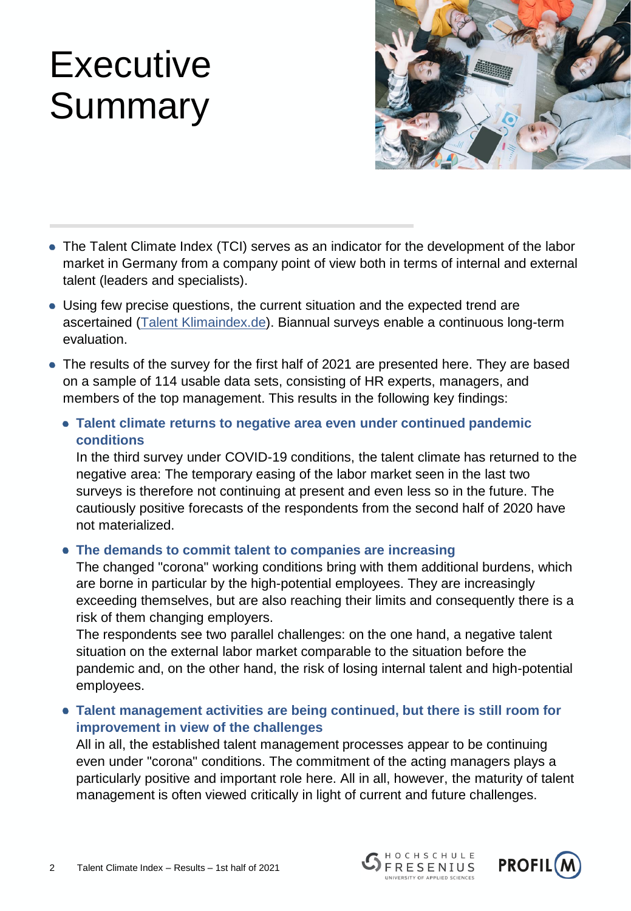### **Executive** Summary



- The Talent Climate Index (TCI) serves as an indicator for the development of the labor market in Germany from a company point of view both in terms of internal and external talent (leaders and specialists).
- Using few precise questions, the current situation and the expected trend are ascertained [\(Talent Klimaindex.de\)](http://talentklimaindex.de/). Biannual surveys enable a continuous long-term evaluation.
- The results of the survey for the first half of 2021 are presented here. They are based on a sample of 114 usable data sets, consisting of HR experts, managers, and members of the top management. This results in the following key findings:
	- **Talent climate returns to negative area even under continued pandemic conditions**

In the third survey under COVID-19 conditions, the talent climate has returned to the negative area: The temporary easing of the labor market seen in the last two surveys is therefore not continuing at present and even less so in the future. The cautiously positive forecasts of the respondents from the second half of 2020 have not materialized.

**The demands to commit talent to companies are increasing**

The changed "corona" working conditions bring with them additional burdens, which are borne in particular by the high-potential employees. They are increasingly exceeding themselves, but are also reaching their limits and consequently there is a risk of them changing employers.

The respondents see two parallel challenges: on the one hand, a negative talent situation on the external labor market comparable to the situation before the pandemic and, on the other hand, the risk of losing internal talent and high-potential employees.

**Talent management activities are being continued, but there is still room for improvement in view of the challenges**

All in all, the established talent management processes appear to be continuing even under "corona" conditions. The commitment of the acting managers plays a particularly positive and important role here. All in all, however, the maturity of talent management is often viewed critically in light of current and future challenges.



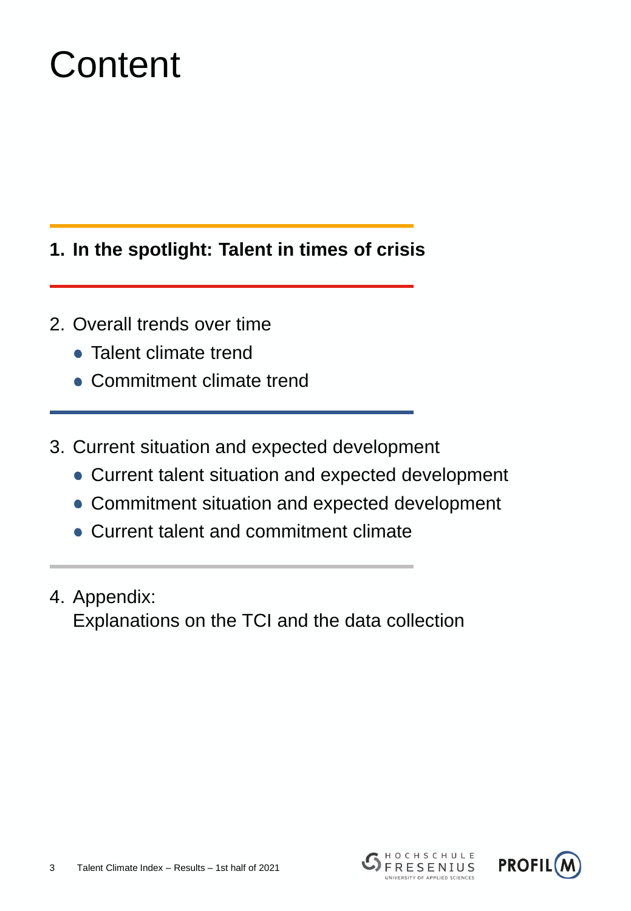## **Content**

#### **1. In the spotlight: Talent in times of crisis**

- 2. Overall trends over time
	- Talent climate trend
	- Commitment climate trend
- 3. Current situation and expected development
	- Current talent situation and expected development
	- Commitment situation and expected development
	- Current talent and commitment climate
- 4. Appendix: Explanations on the TCI and the data collection



HOCHSCHULE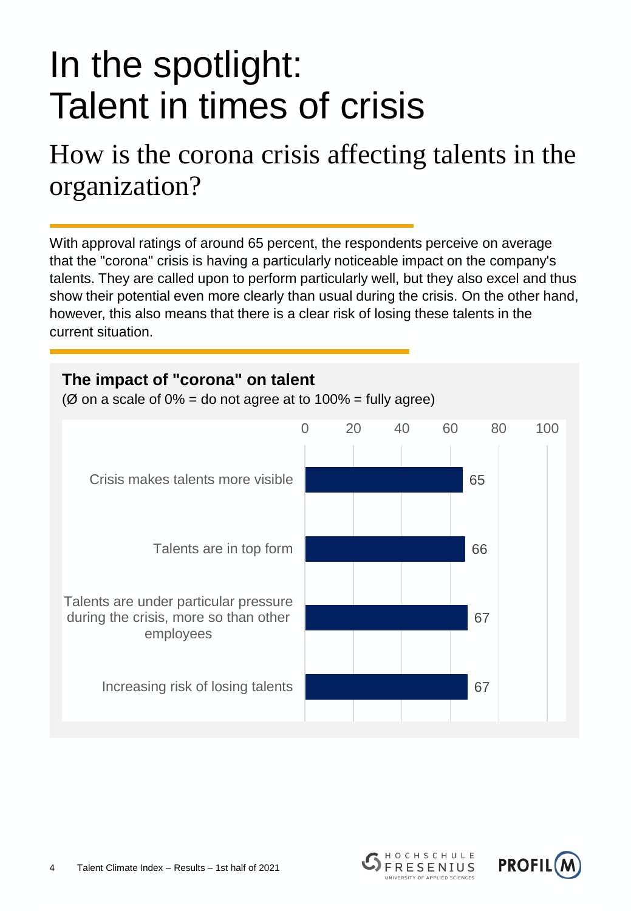### How is the corona crisis affecting talents in the organization?

With approval ratings of around 65 percent, the respondents perceive on average that the "corona" crisis is having a particularly noticeable impact on the company's talents. They are called upon to perform particularly well, but they also excel and thus show their potential even more clearly than usual during the crisis. On the other hand, however, this also means that there is a clear risk of losing these talents in the current situation.





HOCHSCHULE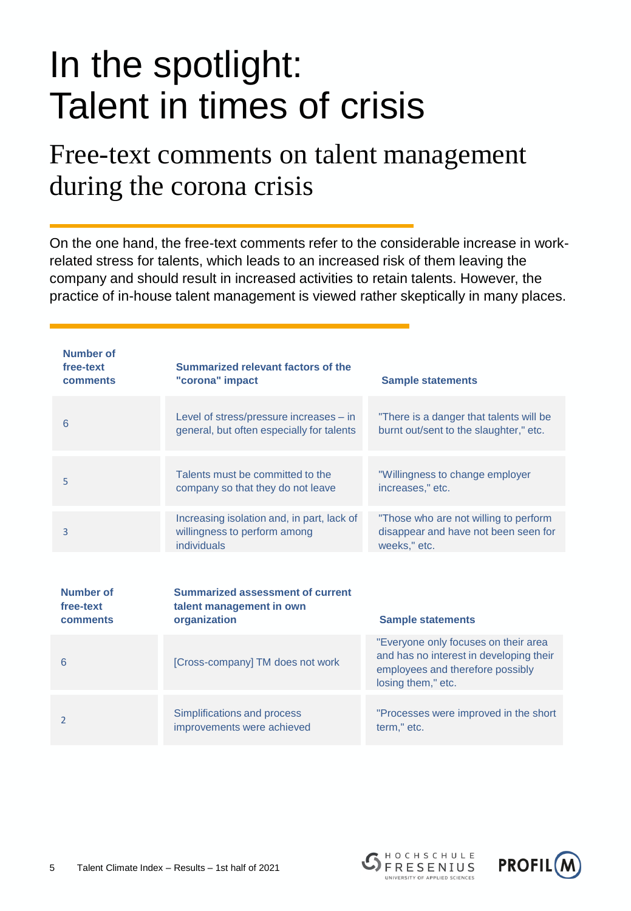### Free-text comments on talent management during the corona crisis

On the one hand, the free-text comments refer to the considerable increase in workrelated stress for talents, which leads to an increased risk of them leaving the company and should result in increased activities to retain talents. However, the practice of in-house talent management is viewed rather skeptically in many places.

| <b>Number of</b><br>free-text<br>comments | Summarized relevant factors of the<br>"corona" impact                                     | <b>Sample statements</b>                                                                                                                  |
|-------------------------------------------|-------------------------------------------------------------------------------------------|-------------------------------------------------------------------------------------------------------------------------------------------|
| 6                                         | Level of stress/pressure increases - in<br>general, but often especially for talents      | "There is a danger that talents will be<br>burnt out/sent to the slaughter," etc.                                                         |
| 5                                         | Talents must be committed to the<br>company so that they do not leave                     | "Willingness to change employer<br>increases," etc.                                                                                       |
| 3                                         | Increasing isolation and, in part, lack of<br>willingness to perform among<br>individuals | "Those who are not willing to perform<br>disappear and have not been seen for<br>weeks," etc.                                             |
| Number of<br>free-text<br>comments        | Summarized assessment of current<br>talent management in own<br>organization              | <b>Sample statements</b>                                                                                                                  |
| 6                                         | [Cross-company] TM does not work                                                          | "Everyone only focuses on their area<br>and has no interest in developing their<br>employees and therefore possibly<br>losing them," etc. |
| $\overline{2}$                            | Simplifications and process<br>improvements were achieved                                 | "Processes were improved in the short<br>term," etc.                                                                                      |



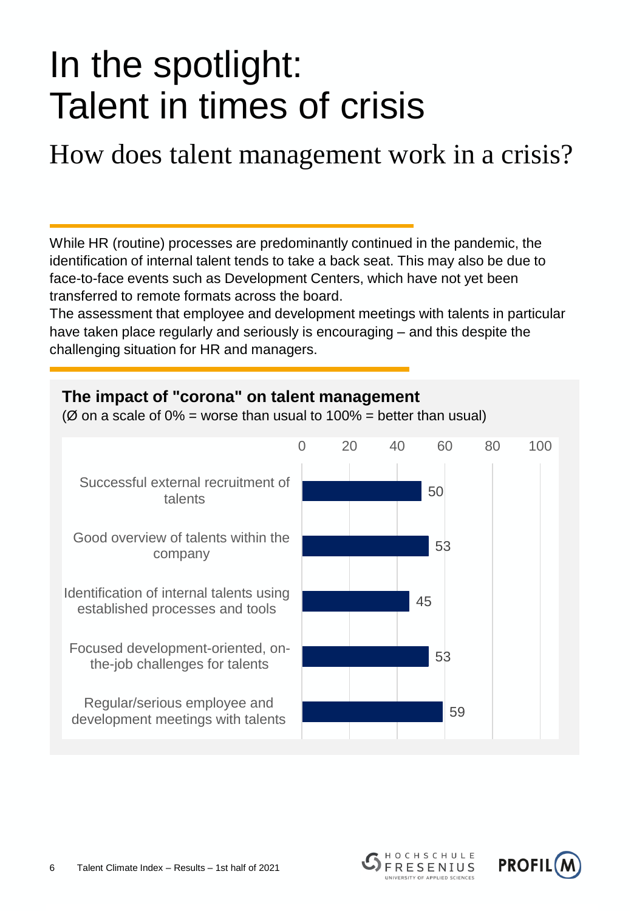How does talent management work in a crisis?

While HR (routine) processes are predominantly continued in the pandemic, the identification of internal talent tends to take a back seat. This may also be due to face-to-face events such as Development Centers, which have not yet been transferred to remote formats across the board.

The assessment that employee and development meetings with talents in particular have taken place regularly and seriously is encouraging – and this despite the challenging situation for HR and managers.

#### **The impact of "corona" on talent management** ( $\varnothing$  on a scale of  $0\%$  = worse than usual to 100% = better than usual) 50 53 45 53 59 0 20 40 60 80 100 Successful external recruitment of talents Good overview of talents within the company Identification of internal talents using established processes and tools Focused development-oriented, onthe-job challenges for talents Regular/serious employee and development meetings with talents



HOCHSCHULE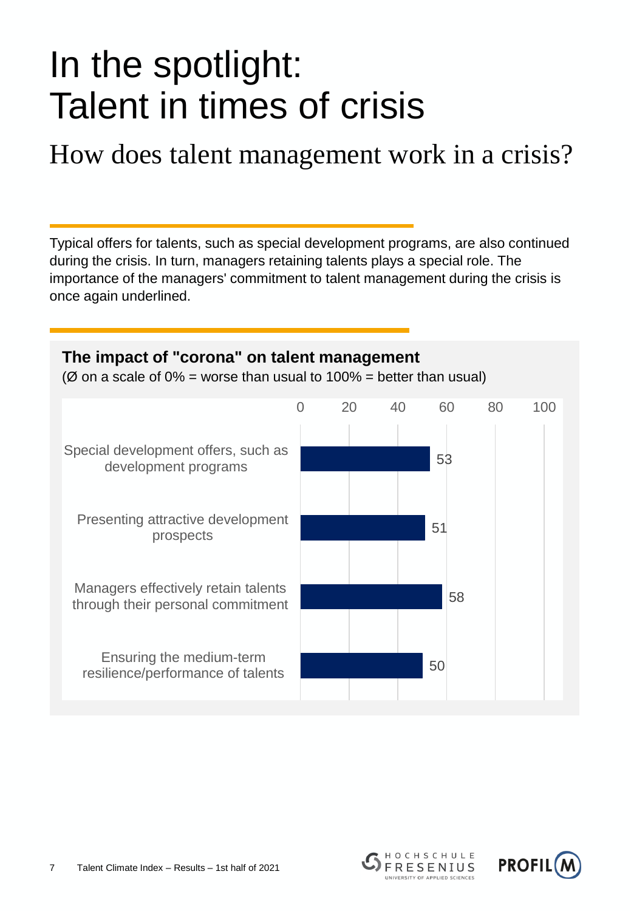How does talent management work in a crisis?

Typical offers for talents, such as special development programs, are also continued during the crisis. In turn, managers retaining talents plays a special role. The importance of the managers' commitment to talent management during the crisis is once again underlined.





HOCHSCHULE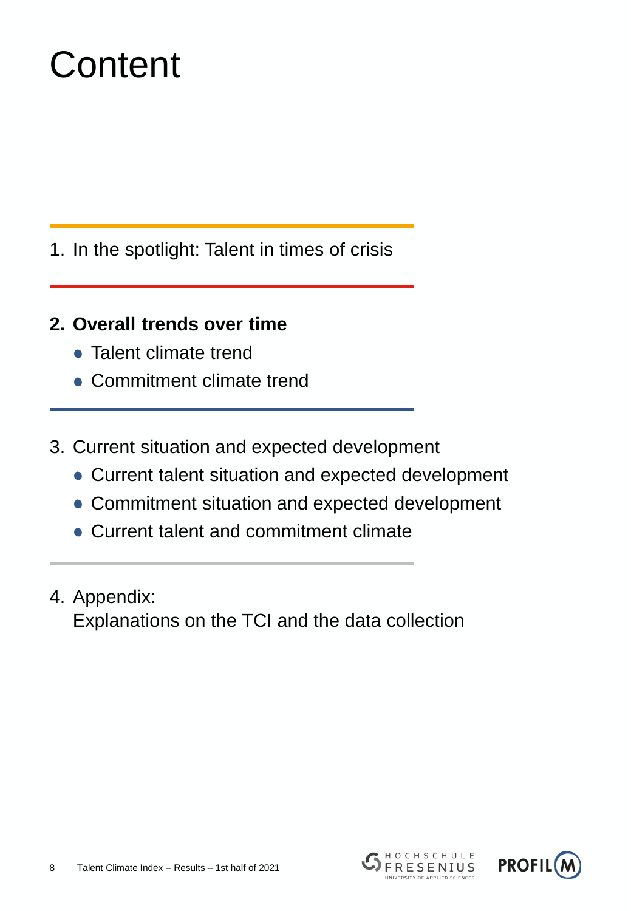## **Content**

- 1. In the spotlight: Talent in times of crisis
- **2. Overall trends over time**
	- Talent climate trend
	- Commitment climate trend
- 3. Current situation and expected development
	- Current talent situation and expected development
	- Commitment situation and expected development
	- Current talent and commitment climate
- 4. Appendix: Explanations on the TCI and the data collection



HOCHSCHULE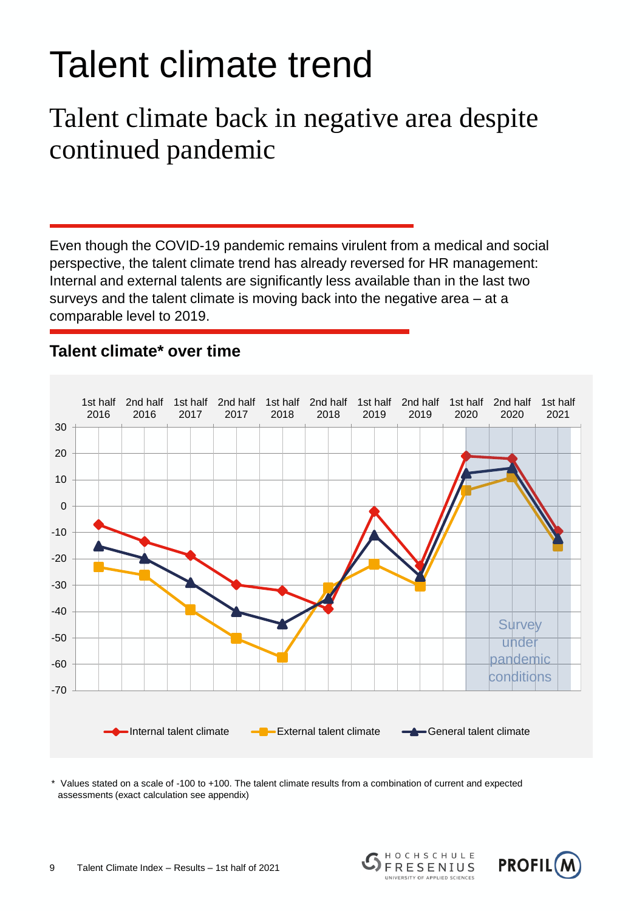## Talent climate trend

### Talent climate back in negative area despite continued pandemic

Even though the COVID-19 pandemic remains virulent from a medical and social perspective, the talent climate trend has already reversed for HR management: Internal and external talents are significantly less available than in the last two surveys and the talent climate is moving back into the negative area – at a comparable level to 2019.



#### **Talent climate\* over time**

Values stated on a scale of -100 to +100. The talent climate results from a combination of current and expected assessments (exact calculation see appendix)





HOCHSCHULE

**FRESENIUS** UNIVERSITY OF APPLIED SCIENCES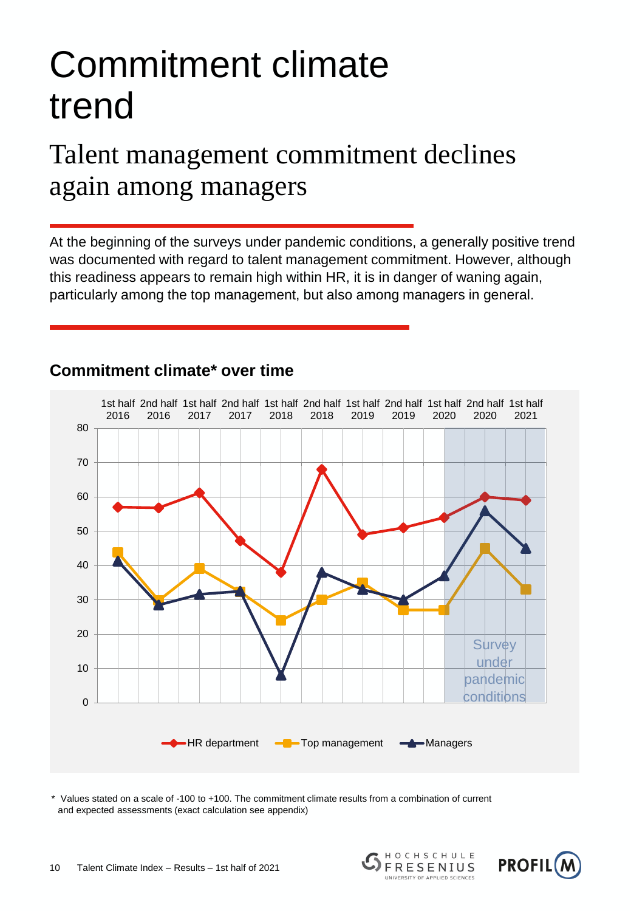## Commitment climate trend

### Talent management commitment declines again among managers

At the beginning of the surveys under pandemic conditions, a generally positive trend was documented with regard to talent management commitment. However, although this readiness appears to remain high within HR, it is in danger of waning again, particularly among the top management, but also among managers in general.



#### **Commitment climate\* over time**

\* Values stated on a scale of -100 to +100. The commitment climate results from a combination of current and expected assessments (exact calculation see appendix)





HOCHSCHULE

**FRESENIUS** UNIVERSITY OF APPLIED SCIENCES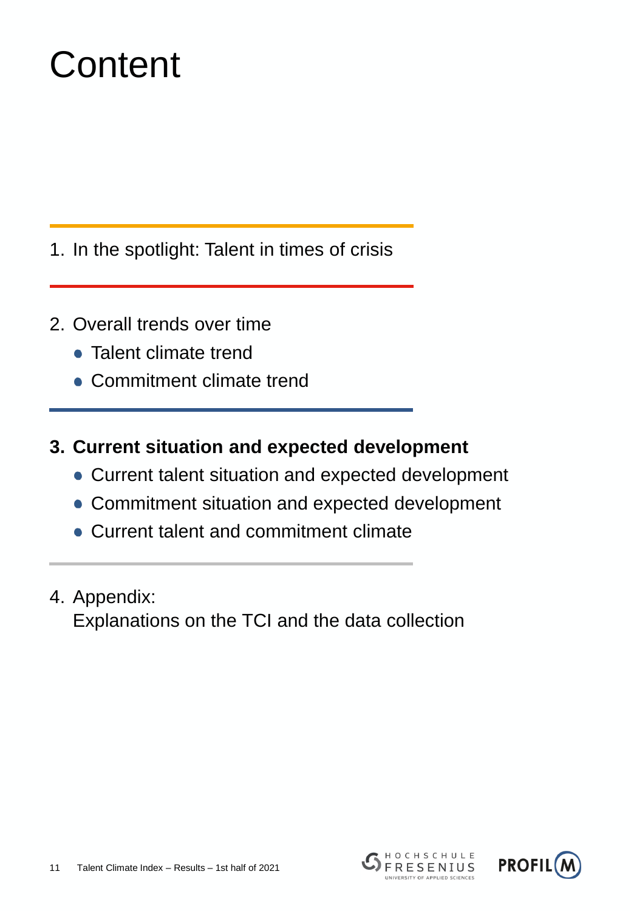## **Content**

1. In the spotlight: Talent in times of crisis

- 2. Overall trends over time
	- Talent climate trend
	- Commitment climate trend
- **3. Current situation and expected development**
	- Current talent situation and expected development
	- Commitment situation and expected development
	- Current talent and commitment climate
- 4. Appendix: Explanations on the TCI and the data collection



HOCHSCHULE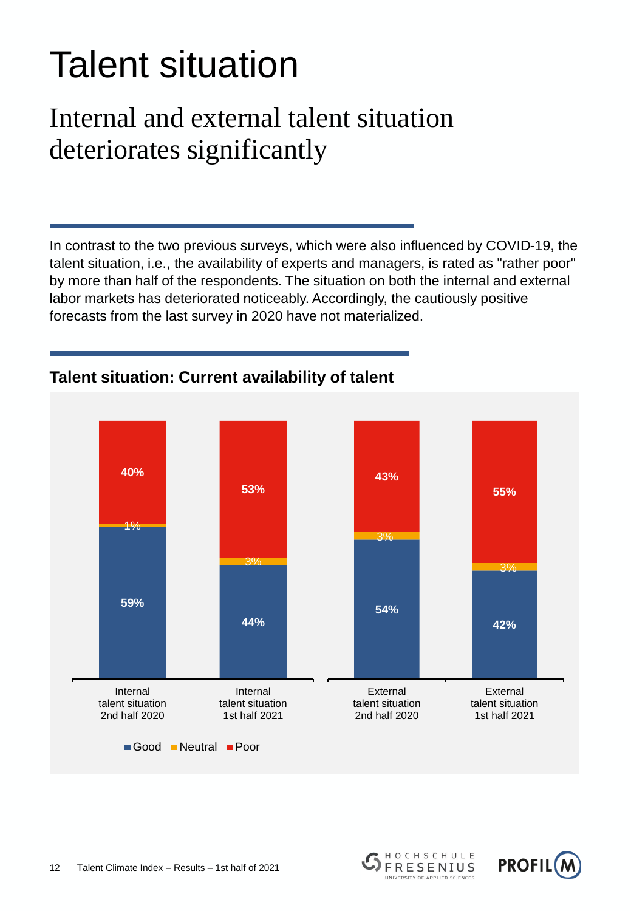## Talent situation

### Internal and external talent situation deteriorates significantly

In contrast to the two previous surveys, which were also influenced by COVID-19, the talent situation, i.e., the availability of experts and managers, is rated as "rather poor" by more than half of the respondents. The situation on both the internal and external labor markets has deteriorated noticeably. Accordingly, the cautiously positive forecasts from the last survey in 2020 have not materialized.



#### **Talent situation: Current availability of talent**



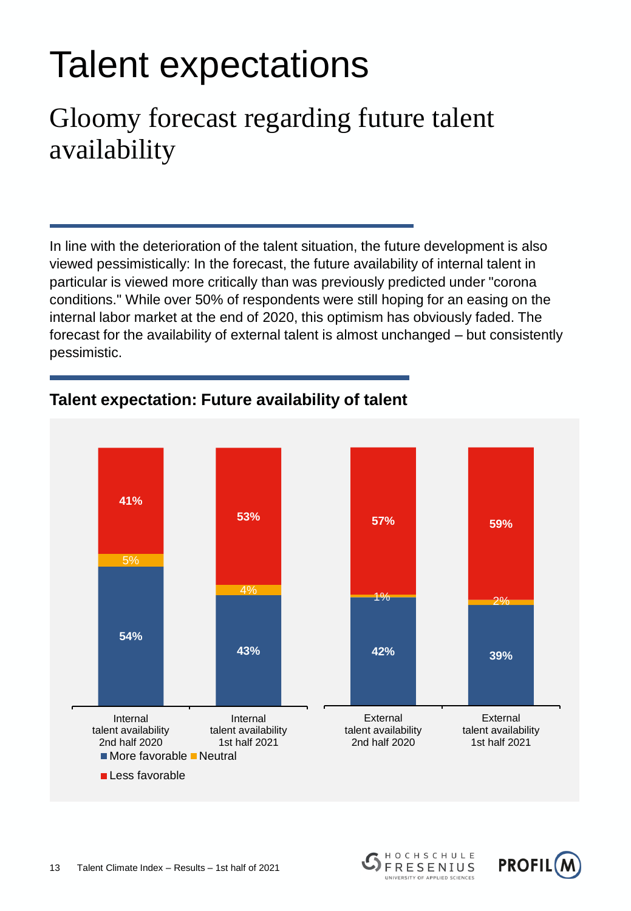## Talent expectations

### Gloomy forecast regarding future talent availability

In line with the deterioration of the talent situation, the future development is also viewed pessimistically: In the forecast, the future availability of internal talent in particular is viewed more critically than was previously predicted under "corona conditions." While over 50% of respondents were still hoping for an easing on the internal labor market at the end of 2020, this optimism has obviously faded. The forecast for the availability of external talent is almost unchanged – but consistently pessimistic.



#### **Talent expectation: Future availability of talent**



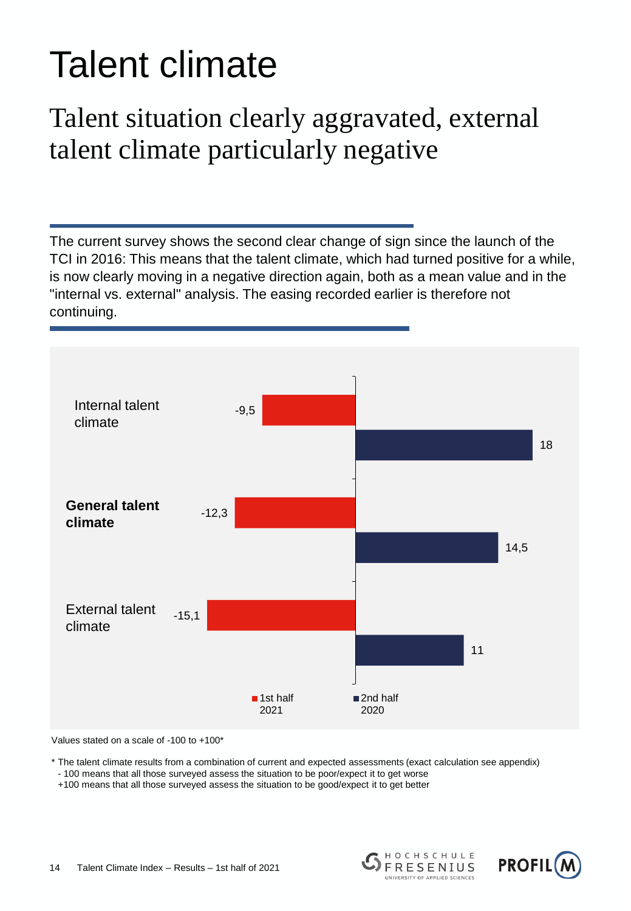## Talent climate

### Talent situation clearly aggravated, external talent climate particularly negative

The current survey shows the second clear change of sign since the launch of the TCI in 2016: This means that the talent climate, which had turned positive for a while, is now clearly moving in a negative direction again, both as a mean value and in the "internal vs. external" analysis. The easing recorded earlier is therefore not continuing.



Values stated on a scale of -100 to +100\*

\* The talent climate results from a combination of current and expected assessments (exact calculation see appendix)

- 100 means that all those surveyed assess the situation to be poor/expect it to get worse

+100 means that all those surveyed assess the situation to be good/expect it to get better

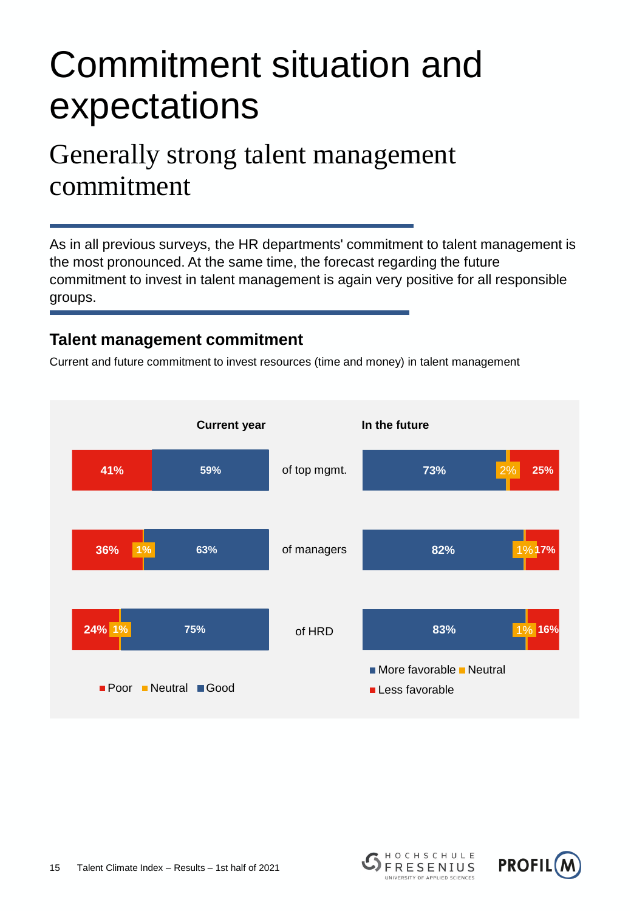### Commitment situation and expectations

### Generally strong talent management commitment

As in all previous surveys, the HR departments' commitment to talent management is the most pronounced. At the same time, the forecast regarding the future commitment to invest in talent management is again very positive for all responsible groups.

#### **Talent management commitment**

Current and future commitment to invest resources (time and money) in talent management





HOCHSCHULE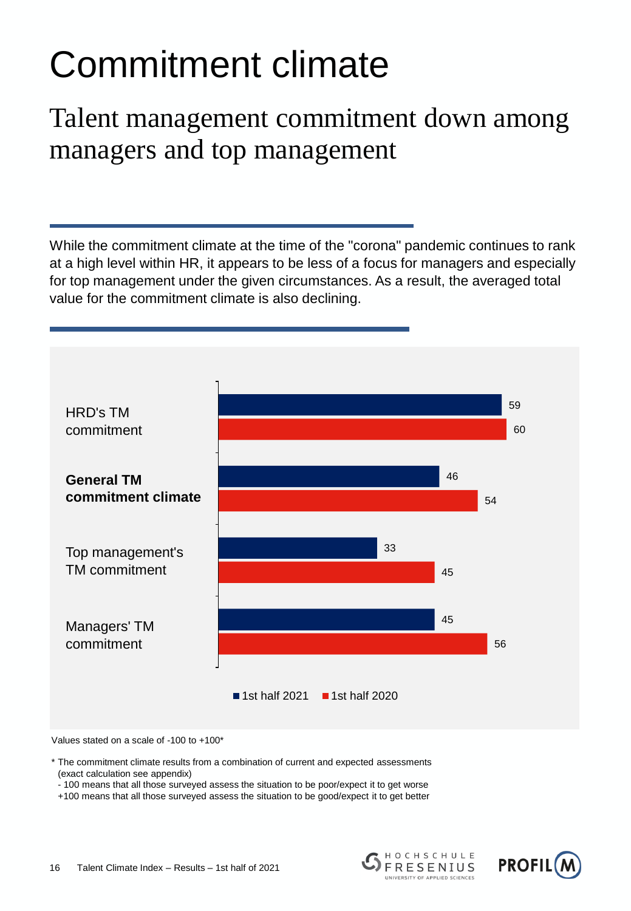## Commitment climate

### Talent management commitment down among managers and top management

While the commitment climate at the time of the "corona" pandemic continues to rank at a high level within HR, it appears to be less of a focus for managers and especially for top management under the given circumstances. As a result, the averaged total value for the commitment climate is also declining.



Values stated on a scale of -100 to +100\*

\* The commitment climate results from a combination of current and expected assessments (exact calculation see appendix)

- 100 means that all those surveyed assess the situation to be poor/expect it to get worse

+100 means that all those surveyed assess the situation to be good/expect it to get better

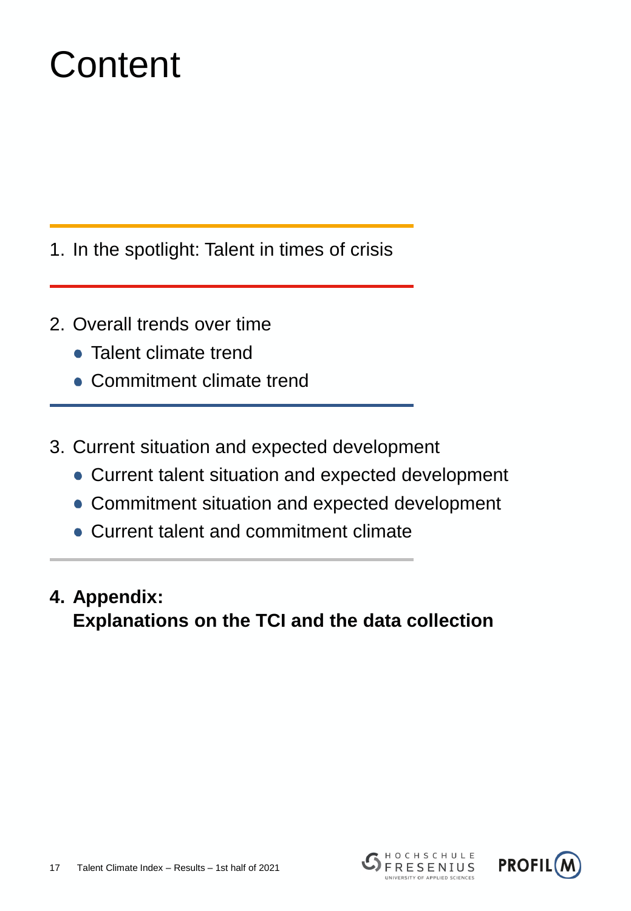## **Content**

- 1. In the spotlight: Talent in times of crisis
- 2. Overall trends over time
	- Talent climate trend
	- Commitment climate trend
- 3. Current situation and expected development
	- Current talent situation and expected development
	- Commitment situation and expected development
	- Current talent and commitment climate
- **4. Appendix: Explanations on the TCI and the data collection**



HOCHSCHULE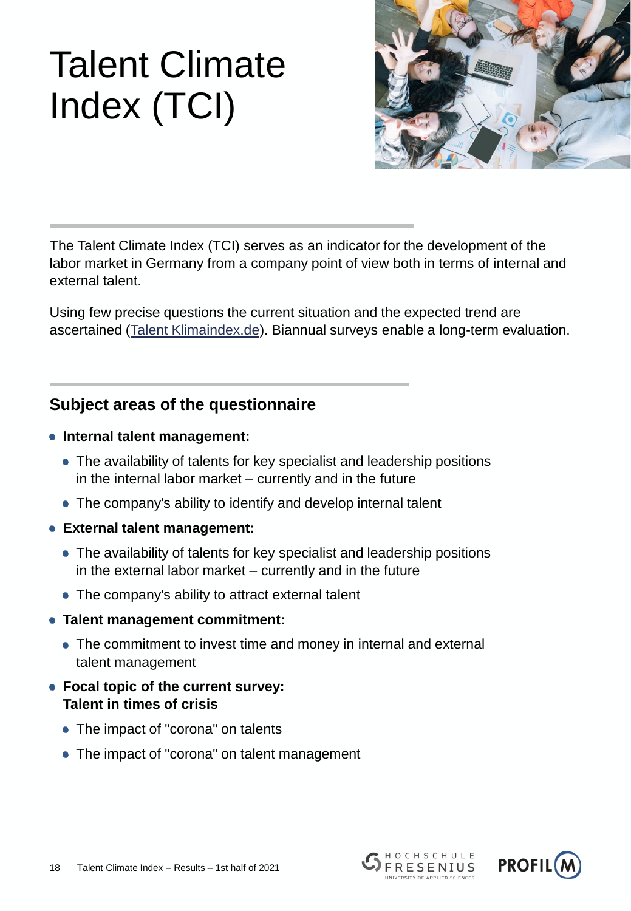

The Talent Climate Index (TCI) serves as an indicator for the development of the labor market in Germany from a company point of view both in terms of internal and external talent.

Using few precise questions the current situation and the expected trend are ascertained ([Talent Klimaindex.de](http://talentklimaindex.de/)). Biannual surveys enable a long-term evaluation.

#### **Subject areas of the questionnaire**

- **Internal talent management:** 
	- The availability of talents for key specialist and leadership positions in the internal labor market – currently and in the future
	- The company's ability to identify and develop internal talent
- **External talent management:** 
	- The availability of talents for key specialist and leadership positions in the external labor market – currently and in the future
	- The company's ability to attract external talent
- **Talent management commitment:**
	- The commitment to invest time and money in internal and external talent management
- **Focal topic of the current survey: Talent in times of crisis**
	- The impact of "corona" on talents
	- The impact of "corona" on talent management



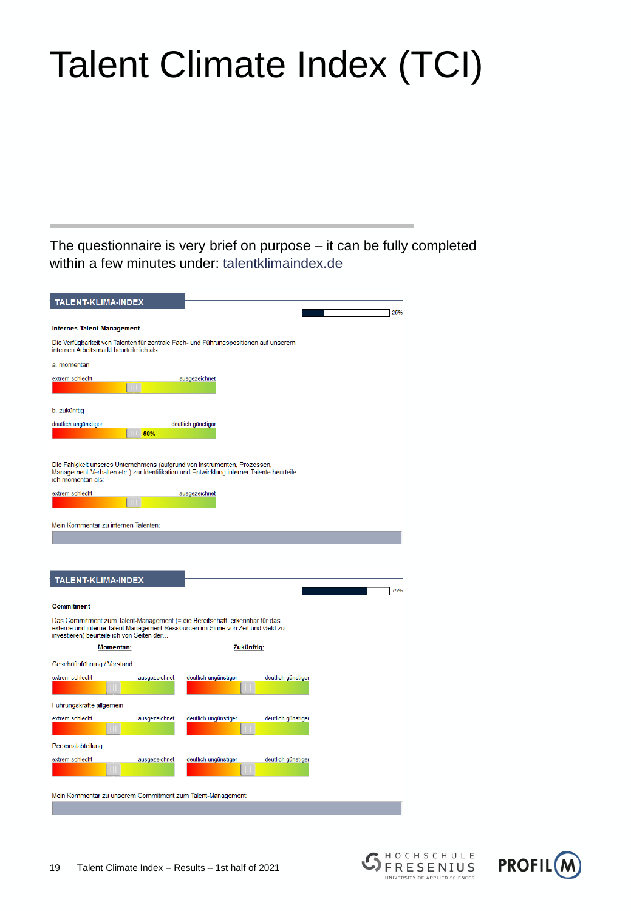The questionnaire is very brief on purpose – it can be fully completed within a few minutes under: [talentklimaindex.de](http://talentklimaindex.de/)

 $\overline{\phantom{a}}$ 

 $\overline{\phantom{a}}$ 

| <b>TALENT-KLIMA-INDEX</b>                      |               |                                                                                                           |                    |     |
|------------------------------------------------|---------------|-----------------------------------------------------------------------------------------------------------|--------------------|-----|
|                                                |               |                                                                                                           |                    | 25% |
| <b>Internes Talent Management</b>              |               |                                                                                                           |                    |     |
| internen Arbeitsmarkt beurteile ich als:       |               | Die Verfügbarkeit von Talenten für zentrale Fach- und Führungspositionen auf unserem                      |                    |     |
| a. momentan                                    |               |                                                                                                           |                    |     |
| extrem schlecht                                |               | ausgezeichnet                                                                                             |                    |     |
|                                                |               |                                                                                                           |                    |     |
| b. zukünftig                                   |               |                                                                                                           |                    |     |
| deutlich ungünstiger                           |               | deutlich günstiger                                                                                        |                    |     |
|                                                | 50%           |                                                                                                           |                    |     |
| ich momentan als:<br>extrem schlecht           |               | Management-Verhalten etc.) zur Identifikation und Entwicklung interner Talente beurteile<br>ausgezeichnet |                    |     |
|                                                |               |                                                                                                           |                    |     |
| Mein Kommentar zu internen Talenten:           |               |                                                                                                           |                    |     |
| <b>TALENT-KLIMA-INDEX</b><br><b>Commitment</b> |               | Das Commitment zum Talent-Management (= die Bereitschaft, erkennbar für das                               |                    |     |
| investieren) beurteile ich von Seiten der      |               | externe und interne Talent Management Ressourcen im Sinne von Zeit und Geld zu                            |                    | 75% |
| <b>Momentan:</b>                               |               |                                                                                                           | Zukünftig:         |     |
| Geschäftsführung / Vorstand                    |               |                                                                                                           |                    |     |
| extrem schlecht                                | ausgezeichnet | deutlich ungünstiger                                                                                      | deutlich günstiger |     |
|                                                |               |                                                                                                           |                    |     |
| Führungskräfte allgemein<br>extrem schlecht    | ausgezeichnet | deutlich ungünstiger                                                                                      | deutlich günstiger |     |
|                                                |               |                                                                                                           |                    |     |
| Personalabteilung                              |               |                                                                                                           |                    |     |
| extrem schlecht                                | ausgezeichnet | deutlich ungünstiger                                                                                      | deutlich günstiger |     |
|                                                |               |                                                                                                           |                    |     |
|                                                |               | Mein Kommentar zu unserem Commitment zum Talent-Management:                                               |                    |     |



HOCHSCHULE

FRESENIUS UNIVERSITY OF APPLIED SCIENCES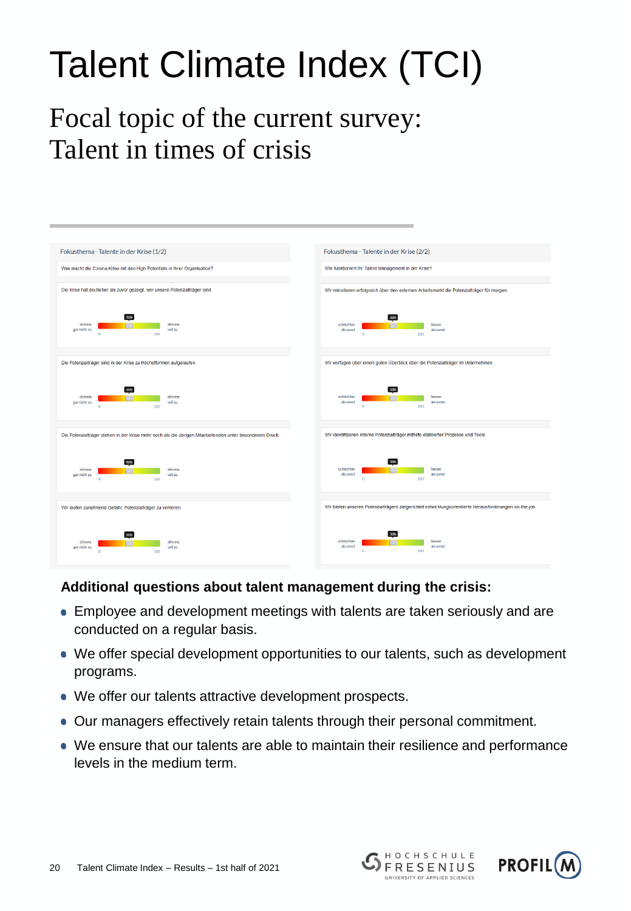### Focal topic of the current survey: Talent in times of crisis

| Fokusthema - Talente in der Krise (1/2)                                                                  | Fokusthema - Talente in der Krise (2/2)                                                                 |  |  |
|----------------------------------------------------------------------------------------------------------|---------------------------------------------------------------------------------------------------------|--|--|
| Was macht die Corona-Krise mit den High Potentials in Ihrer Organisation?                                | Wie funktioniert Ihr Talent Management in der Krise?                                                    |  |  |
|                                                                                                          |                                                                                                         |  |  |
| Die Krise hat deutlicher als zuvor gezeigt, wer unsere Potenzialträger sind.                             | Wir rekrutieren erfolgreich über den externen Arbeitsmarkt die Potenzialträger für morgen.              |  |  |
|                                                                                                          |                                                                                                         |  |  |
| 50%<br>stimme<br>stimme<br>voll zu<br>gar nicht zu                                                       | 50%<br>schlechter<br>besser<br>als sonst<br>als sonst                                                   |  |  |
| 100<br>$\ddot{\phantom{0}}$                                                                              | 100<br>$\circ$                                                                                          |  |  |
|                                                                                                          |                                                                                                         |  |  |
| Die Potenzialträger sind in der Krise zu Höchstformen aufgelaufen.                                       | Wir verfügen über einen guten Überblick über die Potenzialträger im Unternehmen.                        |  |  |
|                                                                                                          |                                                                                                         |  |  |
| 50%<br>stimme<br>stimme                                                                                  | 50%<br>schlechter<br>besser                                                                             |  |  |
| gar nicht zu<br>voll zu<br>100<br>$\bullet$                                                              | als sonst<br>als sonst<br>$\Omega$<br>100                                                               |  |  |
|                                                                                                          |                                                                                                         |  |  |
| Die Potenzialträger stehen in der Krise mehr noch als die übrigen Mitarbeitenden unter besonderem Druck. | Wir identifizieren interne Potenzialträger mithilfe etablierter Prozesse und Tools.                     |  |  |
|                                                                                                          |                                                                                                         |  |  |
| 50%                                                                                                      | 50%                                                                                                     |  |  |
| stimme<br>stimme<br>voll zu<br>gar nicht zu<br>$\circ$<br>100                                            | schlechter<br>besser<br>als sonst<br>als sonst<br>100<br>$\circ$                                        |  |  |
|                                                                                                          |                                                                                                         |  |  |
| Wir laufen zunehmend Gefahr, Potenzialträger zu verlieren.                                               | Wir bieten unseren Potenzialträgern zielgerichtet entwicklungsorientierte Herausforderungen on-the-job. |  |  |
|                                                                                                          |                                                                                                         |  |  |
| 50%                                                                                                      | 50%                                                                                                     |  |  |
| stimme<br>stimme<br>gar nicht zu<br>voll zu                                                              | schlechter<br>besser<br>als sonst<br>als sonst                                                          |  |  |
| 100<br>$\alpha$                                                                                          | $\bullet$<br>100                                                                                        |  |  |

#### **Additional questions about talent management during the crisis:**

- Employee and development meetings with talents are taken seriously and are conducted on a regular basis.
- We offer special development opportunities to our talents, such as development programs.
- We offer our talents attractive development prospects.
- Our managers effectively retain talents through their personal commitment.
- We ensure that our talents are able to maintain their resilience and performance levels in the medium term.



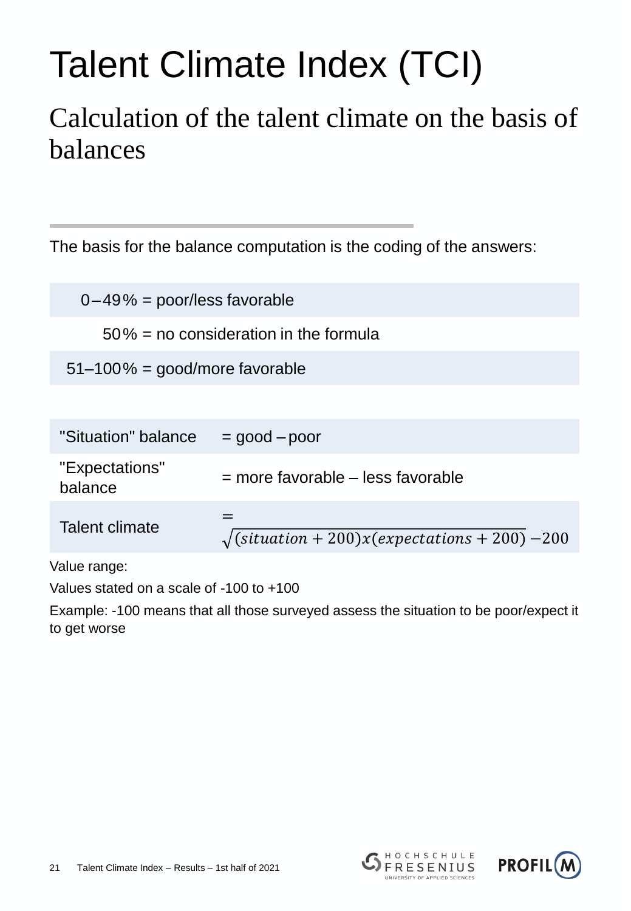### Calculation of the talent climate on the basis of balances

The basis for the balance computation is the coding of the answers:

 $0-49\%$  = poor/less favorable

50% = no consideration in the formula

51–100% = good/more favorable

| "Situation" balance       | $=$ good $-$ poor                                                                          |
|---------------------------|--------------------------------------------------------------------------------------------|
| "Expectations"<br>balance | $=$ more favorable $-$ less favorable                                                      |
| Talent climate            | $\sqrt{\left(\text{situation} + 200\right) x\left(\text{expectations} + 200\right) - 200}$ |

Value range:

Values stated on a scale of -100 to +100

Example: -100 means that all those surveyed assess the situation to be poor/expect it to get worse



HOCHSCHULE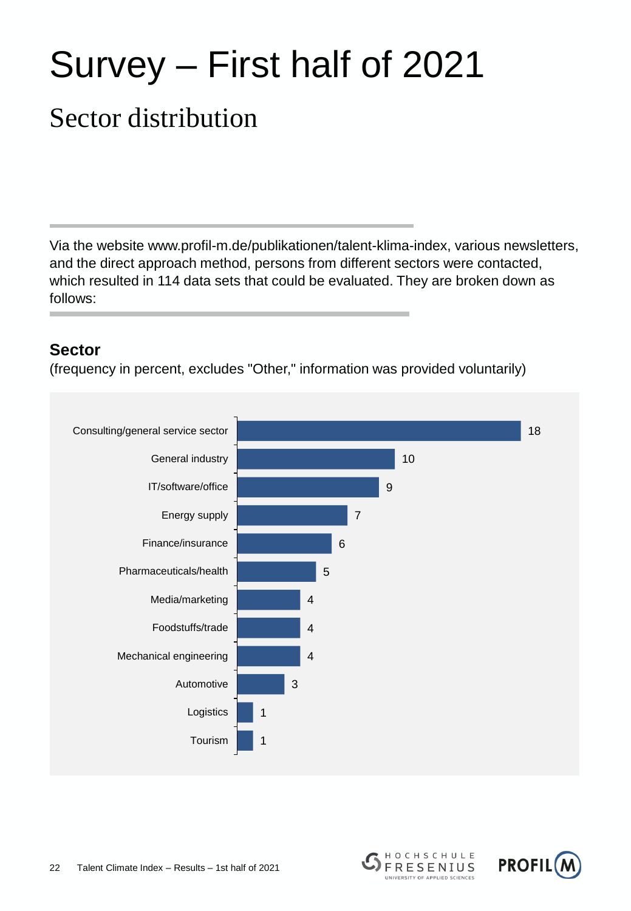## Survey – First half of 2021

### Sector distribution

Via the website www.profil-m.de/publikationen/talent-klima-index, various newsletters, and the direct approach method, persons from different sectors were contacted, which resulted in 114 data sets that could be evaluated. They are broken down as follows:

#### **Sector**

(frequency in percent, excludes "Other," information was provided voluntarily)





HOCHSCHULE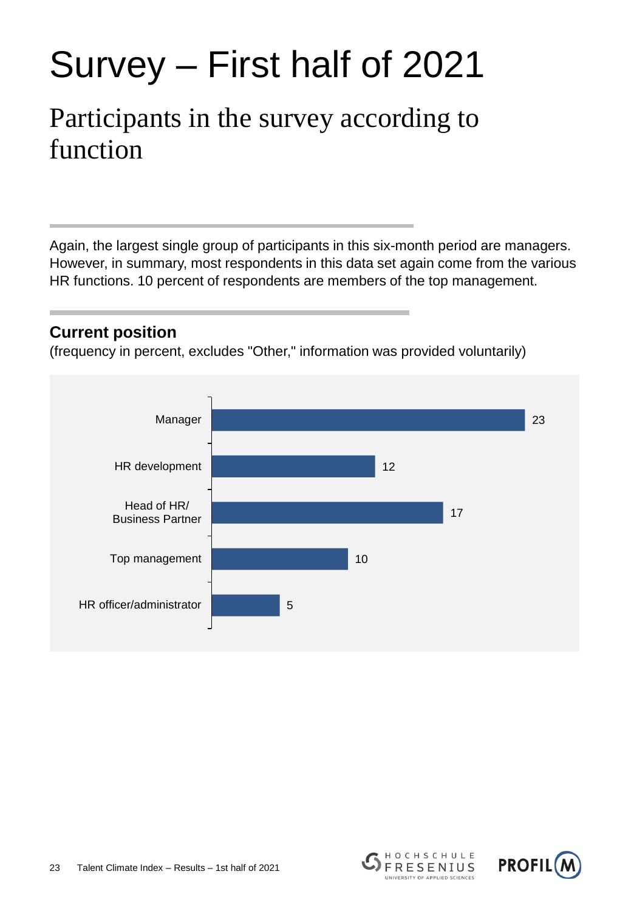## Survey – First half of 2021

### Participants in the survey according to function

Again, the largest single group of participants in this six-month period are managers. However, in summary, most respondents in this data set again come from the various HR functions. 10 percent of respondents are members of the top management.

#### **Current position**

(frequency in percent, excludes "Other," information was provided voluntarily)





HOCHSCHULE

**FRESENIUS** ERSITY OF APPLIED SCIENCES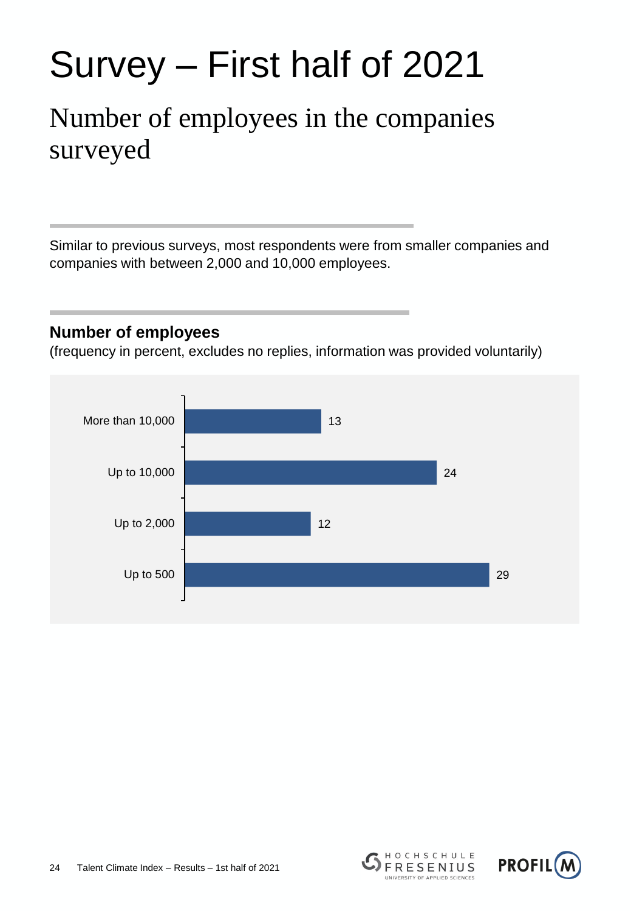## Survey – First half of 2021

### Number of employees in the companies surveyed

Similar to previous surveys, most respondents were from smaller companies and companies with between 2,000 and 10,000 employees.

#### **Number of employees**

(frequency in percent, excludes no replies, information was provided voluntarily)





HOCHSCHULE

**FRESENIUS ERSITY OF APPLIED SCIENCES**